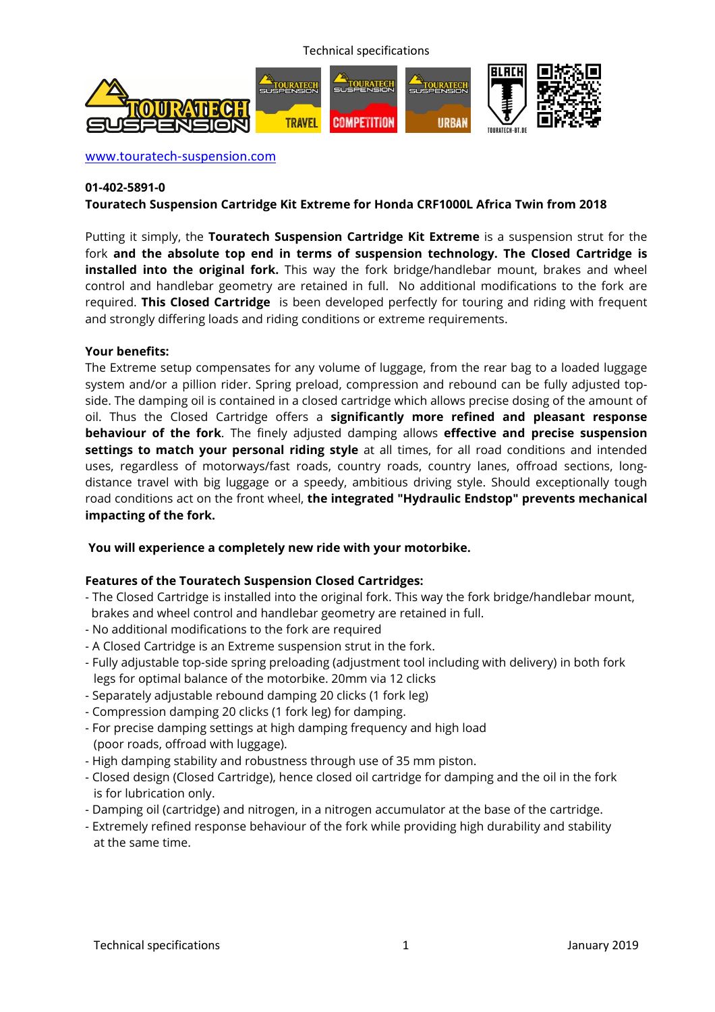Technical specifications



www.touratech-suspension.com

#### **01-402-5891-0**

#### **Touratech Suspension Cartridge Kit Extreme for Honda CRF1000L Africa Twin from 2018**

Putting it simply, the **Touratech Suspension Cartridge Kit Extreme** is a suspension strut for the fork **and the absolute top end in terms of suspension technology. The Closed Cartridge is installed into the original fork.** This way the fork bridge/handlebar mount, brakes and wheel control and handlebar geometry are retained in full. No additional modifications to the fork are required. **This Closed Cartridge** is been developed perfectly for touring and riding with frequent and strongly differing loads and riding conditions or extreme requirements.

#### **Your benefits:**

The Extreme setup compensates for any volume of luggage, from the rear bag to a loaded luggage system and/or a pillion rider. Spring preload, compression and rebound can be fully adjusted topside. The damping oil is contained in a closed cartridge which allows precise dosing of the amount of oil. Thus the Closed Cartridge offers a **significantly more refined and pleasant response behaviour of the fork**. The finely adjusted damping allows **effective and precise suspension settings to match your personal riding style** at all times, for all road conditions and intended uses, regardless of motorways/fast roads, country roads, country lanes, offroad sections, longdistance travel with big luggage or a speedy, ambitious driving style. Should exceptionally tough road conditions act on the front wheel, **the integrated "Hydraulic Endstop" prevents mechanical impacting of the fork.**

#### **You will experience a completely new ride with your motorbike.**

# **Features of the Touratech Suspension Closed Cartridges:**

- The Closed Cartridge is installed into the original fork. This way the fork bridge/handlebar mount, brakes and wheel control and handlebar geometry are retained in full.
- No additional modifications to the fork are required
- A Closed Cartridge is an Extreme suspension strut in the fork.
- Fully adjustable top-side spring preloading (adjustment tool including with delivery) in both fork legs for optimal balance of the motorbike. 20mm via 12 clicks
- Separately adjustable rebound damping 20 clicks (1 fork leg)
- Compression damping 20 clicks (1 fork leg) for damping.
- For precise damping settings at high damping frequency and high load (poor roads, offroad with luggage).
- High damping stability and robustness through use of 35 mm piston.
- Closed design (Closed Cartridge), hence closed oil cartridge for damping and the oil in the fork is for lubrication only.
- Damping oil (cartridge) and nitrogen, in a nitrogen accumulator at the base of the cartridge.
- Extremely refined response behaviour of the fork while providing high durability and stability at the same time.